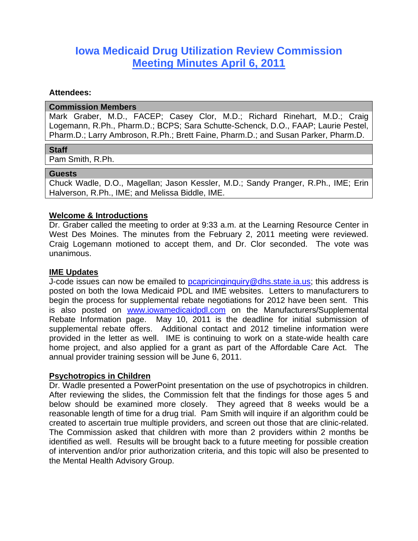# **Iowa Medicaid Drug Utilization Review Commission Meeting Minutes April 6, 2011**

### **Attendees:**

#### **Commission Members**

Mark Graber, M.D., FACEP; Casey Clor, M.D.; Richard Rinehart, M.D.; Craig Logemann, R.Ph., Pharm.D.; BCPS; Sara Schutte-Schenck, D.O., FAAP; Laurie Pestel, Pharm.D.; Larry Ambroson, R.Ph.; Brett Faine, Pharm.D.; and Susan Parker, Pharm.D.

#### **Staff**

Pam Smith, R.Ph.

## **Guests**

Chuck Wadle, D.O., Magellan; Jason Kessler, M.D.; Sandy Pranger, R.Ph., IME; Erin Halverson, R.Ph., IME; and Melissa Biddle, IME.

## **Welcome & Introductions**

Dr. Graber called the meeting to order at 9:33 a.m. at the Learning Resource Center in West Des Moines. The minutes from the February 2, 2011 meeting were reviewed. Craig Logemann motioned to accept them, and Dr. Clor seconded. The vote was unanimous.

## **IME Updates**

J-code issues can now be emailed to pcapricinginquiry@dhs.state.ia.us; this address is posted on both the Iowa Medicaid PDL and IME websites. Letters to manufacturers to begin the process for supplemental rebate negotiations for 2012 have been sent. This is also posted on www.iowamedicaidpdl.com on the Manufacturers/Supplemental Rebate Information page. May 10, 2011 is the deadline for initial submission of supplemental rebate offers. Additional contact and 2012 timeline information were provided in the letter as well. IME is continuing to work on a state-wide health care home project, and also applied for a grant as part of the Affordable Care Act. The annual provider training session will be June 6, 2011.

#### **Psychotropics in Children**

Dr. Wadle presented a PowerPoint presentation on the use of psychotropics in children. After reviewing the slides, the Commission felt that the findings for those ages 5 and below should be examined more closely. They agreed that 8 weeks would be a reasonable length of time for a drug trial. Pam Smith will inquire if an algorithm could be created to ascertain true multiple providers, and screen out those that are clinic-related. The Commission asked that children with more than 2 providers within 2 months be identified as well. Results will be brought back to a future meeting for possible creation of intervention and/or prior authorization criteria, and this topic will also be presented to the Mental Health Advisory Group.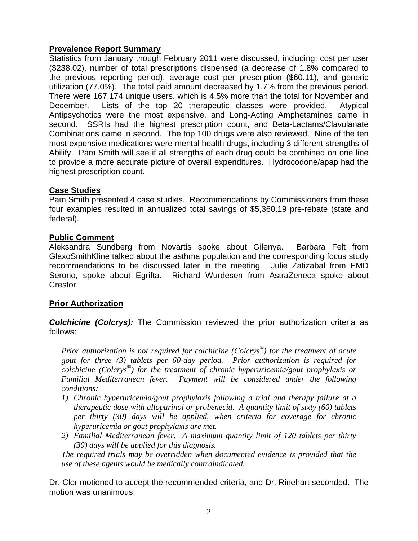# **Prevalence Report Summary**

Statistics from January though February 2011 were discussed, including: cost per user (\$238.02), number of total prescriptions dispensed (a decrease of 1.8% compared to the previous reporting period), average cost per prescription (\$60.11), and generic utilization (77.0%). The total paid amount decreased by 1.7% from the previous period. There were 167,174 unique users, which is 4.5% more than the total for November and December. Lists of the top 20 therapeutic classes were provided. Atypical Antipsychotics were the most expensive, and Long-Acting Amphetamines came in second. SSRIs had the highest prescription count, and Beta-Lactams/Clavulanate Combinations came in second. The top 100 drugs were also reviewed. Nine of the ten most expensive medications were mental health drugs, including 3 different strengths of Abilify. Pam Smith will see if all strengths of each drug could be combined on one line to provide a more accurate picture of overall expenditures. Hydrocodone/apap had the highest prescription count.

## **Case Studies**

Pam Smith presented 4 case studies. Recommendations by Commissioners from these four examples resulted in annualized total savings of \$5,360.19 pre-rebate (state and federal).

# **Public Comment**

Aleksandra Sundberg from Novartis spoke about Gilenya. Barbara Felt from GlaxoSmithKline talked about the asthma population and the corresponding focus study recommendations to be discussed later in the meeting. Julie Zatizabal from EMD Serono, spoke about Egrifta. Richard Wurdesen from AstraZeneca spoke about Crestor.

# **Prior Authorization**

*Colchicine (Colcrys):* The Commission reviewed the prior authorization criteria as follows:

*Prior authorization is not required for colchicine (Colcrys®) for the treatment of acute gout for three (3) tablets per 60-day period. Prior authorization is required for colchicine (Colcrys®) for the treatment of chronic hyperuricemia/gout prophylaxis or Familial Mediterranean fever. Payment will be considered under the following conditions:* 

- *1) Chronic hyperuricemia/gout prophylaxis following a trial and therapy failure at a therapeutic dose with allopurinol or probenecid. A quantity limit of sixty (60) tablets per thirty (30) days will be applied, when criteria for coverage for chronic hyperuricemia or gout prophylaxis are met.*
- *2) Familial Mediterranean fever. A maximum quantity limit of 120 tablets per thirty (30) days will be applied for this diagnosis.*

*The required trials may be overridden when documented evidence is provided that the use of these agents would be medically contraindicated.* 

Dr. Clor motioned to accept the recommended criteria, and Dr. Rinehart seconded. The motion was unanimous.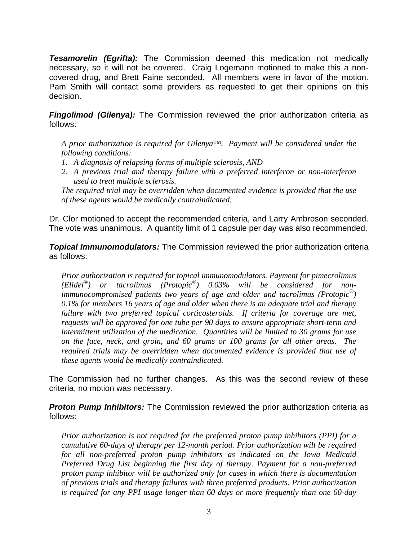**Tesamorelin (Egrifta):** The Commission deemed this medication not medically necessary, so it will not be covered. Craig Logemann motioned to make this a noncovered drug, and Brett Faine seconded. All members were in favor of the motion. Pam Smith will contact some providers as requested to get their opinions on this decision.

*Fingolimod (Gilenya):* The Commission reviewed the prior authorization criteria as follows:

*A prior authorization is required for Gilenya™. Payment will be considered under the following conditions:* 

- *1. A diagnosis of relapsing forms of multiple sclerosis, AND*
- *2. A previous trial and therapy failure with a preferred interferon or non-interferon used to treat multiple sclerosis.*

*The required trial may be overridden when documented evidence is provided that the use of these agents would be medically contraindicated.* 

Dr. Clor motioned to accept the recommended criteria, and Larry Ambroson seconded. The vote was unanimous. A quantity limit of 1 capsule per day was also recommended.

*Topical Immunomodulators:* The Commission reviewed the prior authorization criteria as follows:

*Prior authorization is required for topical immunomodulators. Payment for pimecrolimus (Elidel®) or tacrolimus (Protopic®) 0.03% will be considered for nonimmunocompromised patients two years of age and older and tacrolimus (Protopic®) 0.1% for members 16 years of age and older when there is an adequate trial and therapy failure with two preferred topical corticosteroids. If criteria for coverage are met, requests will be approved for one tube per 90 days to ensure appropriate short-term and intermittent utilization of the medication. Quantities will be limited to 30 grams for use on the face, neck, and groin, and 60 grams or 100 grams for all other areas. The required trials may be overridden when documented evidence is provided that use of these agents would be medically contraindicated.* 

The Commission had no further changes. As this was the second review of these criteria, no motion was necessary.

*Proton Pump Inhibitors:* The Commission reviewed the prior authorization criteria as follows:

*Prior authorization is not required for the preferred proton pump inhibitors (PPI) for a cumulative 60-days of therapy per 12-month period. Prior authorization will be required for all non-preferred proton pump inhibitors as indicated on the Iowa Medicaid Preferred Drug List beginning the first day of therapy. Payment for a non-preferred proton pump inhibitor will be authorized only for cases in which there is documentation of previous trials and therapy failures with three preferred products. Prior authorization is required for any PPI usage longer than 60 days or more frequently than one 60-day*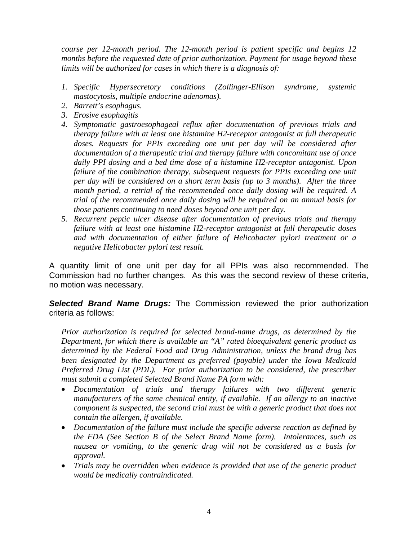*course per 12-month period. The 12-month period is patient specific and begins 12 months before the requested date of prior authorization. Payment for usage beyond these limits will be authorized for cases in which there is a diagnosis of:* 

- *1. Specific Hypersecretory conditions (Zollinger-Ellison syndrome, systemic mastocytosis, multiple endocrine adenomas).*
- *2. Barrett's esophagus.*
- *3. Erosive esophagitis*
- *4. Symptomatic gastroesophageal reflux after documentation of previous trials and therapy failure with at least one histamine H2-receptor antagonist at full therapeutic doses. Requests for PPIs exceeding one unit per day will be considered after documentation of a therapeutic trial and therapy failure with concomitant use of once daily PPI dosing and a bed time dose of a histamine H2-receptor antagonist. Upon failure of the combination therapy, subsequent requests for PPIs exceeding one unit per day will be considered on a short term basis (up to 3 months). After the three month period, a retrial of the recommended once daily dosing will be required. A trial of the recommended once daily dosing will be required on an annual basis for those patients continuing to need doses beyond one unit per day.*
- *5. Recurrent peptic ulcer disease after documentation of previous trials and therapy failure with at least one histamine H2-receptor antagonist at full therapeutic doses and with documentation of either failure of Helicobacter pylori treatment or a negative Helicobacter pylori test result.*

A quantity limit of one unit per day for all PPIs was also recommended. The Commission had no further changes. As this was the second review of these criteria, no motion was necessary.

*Selected Brand Name Drugs:* The Commission reviewed the prior authorization criteria as follows:

*Prior authorization is required for selected brand-name drugs, as determined by the Department, for which there is available an "A" rated bioequivalent generic product as determined by the Federal Food and Drug Administration, unless the brand drug has been designated by the Department as preferred (payable) under the Iowa Medicaid Preferred Drug List (PDL). For prior authorization to be considered, the prescriber must submit a completed Selected Brand Name PA form with:* 

- *Documentation of trials and therapy failures with two different generic manufacturers of the same chemical entity, if available. If an allergy to an inactive component is suspected, the second trial must be with a generic product that does not contain the allergen, if available.*
- *Documentation of the failure must include the specific adverse reaction as defined by the FDA (See Section B of the Select Brand Name form). Intolerances, such as nausea or vomiting, to the generic drug will not be considered as a basis for approval.*
- *Trials may be overridden when evidence is provided that use of the generic product would be medically contraindicated.*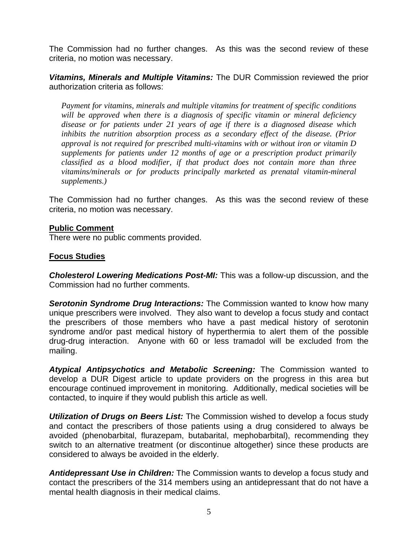The Commission had no further changes. As this was the second review of these criteria, no motion was necessary.

*Vitamins, Minerals and Multiple Vitamins:* The DUR Commission reviewed the prior authorization criteria as follows:

*Payment for vitamins, minerals and multiple vitamins for treatment of specific conditions*  will be approved when there is a diagnosis of specific vitamin or mineral deficiency *disease or for patients under 21 years of age if there is a diagnosed disease which inhibits the nutrition absorption process as a secondary effect of the disease. (Prior approval is not required for prescribed multi-vitamins with or without iron or vitamin D supplements for patients under 12 months of age or a prescription product primarily classified as a blood modifier, if that product does not contain more than three vitamins/minerals or for products principally marketed as prenatal vitamin-mineral supplements.)* 

The Commission had no further changes. As this was the second review of these criteria, no motion was necessary.

## **Public Comment**

There were no public comments provided.

# **Focus Studies**

*Cholesterol Lowering Medications Post-MI:* This was a follow-up discussion, and the Commission had no further comments.

*Serotonin Syndrome Drug Interactions:* The Commission wanted to know how many unique prescribers were involved. They also want to develop a focus study and contact the prescribers of those members who have a past medical history of serotonin syndrome and/or past medical history of hyperthermia to alert them of the possible drug-drug interaction. Anyone with 60 or less tramadol will be excluded from the mailing.

*Atypical Antipsychotics and Metabolic Screening:* The Commission wanted to develop a DUR Digest article to update providers on the progress in this area but encourage continued improvement in monitoring. Additionally, medical societies will be contacted, to inquire if they would publish this article as well.

*Utilization of Drugs on Beers List:* The Commission wished to develop a focus study and contact the prescribers of those patients using a drug considered to always be avoided (phenobarbital, flurazepam, butabarital, mephobarbital), recommending they switch to an alternative treatment (or discontinue altogether) since these products are considered to always be avoided in the elderly.

*Antidepressant Use in Children:* The Commission wants to develop a focus study and contact the prescribers of the 314 members using an antidepressant that do not have a mental health diagnosis in their medical claims.